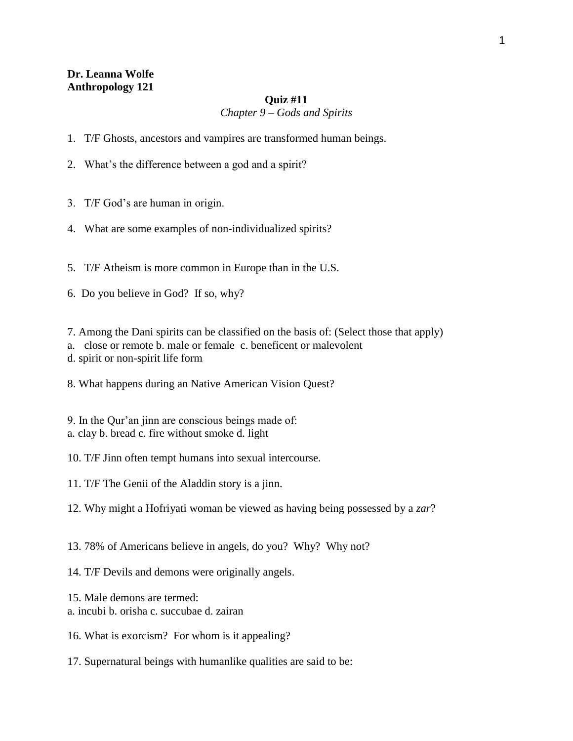## **Dr. Leanna Wolfe Anthropology 121**

## **Quiz #11**

## *Chapter 9 – Gods and Spirits*

- 1. T/F Ghosts, ancestors and vampires are transformed human beings.
- 2. What's the difference between a god and a spirit?
- 3. T/F God's are human in origin.
- 4. What are some examples of non-individualized spirits?
- 5. T/F Atheism is more common in Europe than in the U.S.
- 6. Do you believe in God? If so, why?

7. Among the Dani spirits can be classified on the basis of: (Select those that apply)

- a. close or remote b. male or female c. beneficent or malevolent
- d. spirit or non-spirit life form
- 8. What happens during an Native American Vision Quest?
- 9. In the Qur'an jinn are conscious beings made of: a. clay b. bread c. fire without smoke d. light
- 10. T/F Jinn often tempt humans into sexual intercourse.
- 11. T/F The Genii of the Aladdin story is a jinn.
- 12. Why might a Hofriyati woman be viewed as having being possessed by a *zar*?
- 13. 78% of Americans believe in angels, do you? Why? Why not?
- 14. T/F Devils and demons were originally angels.
- 15. Male demons are termed:
- a. incubi b. orisha c. succubae d. zairan
- 16. What is exorcism? For whom is it appealing?
- 17. Supernatural beings with humanlike qualities are said to be: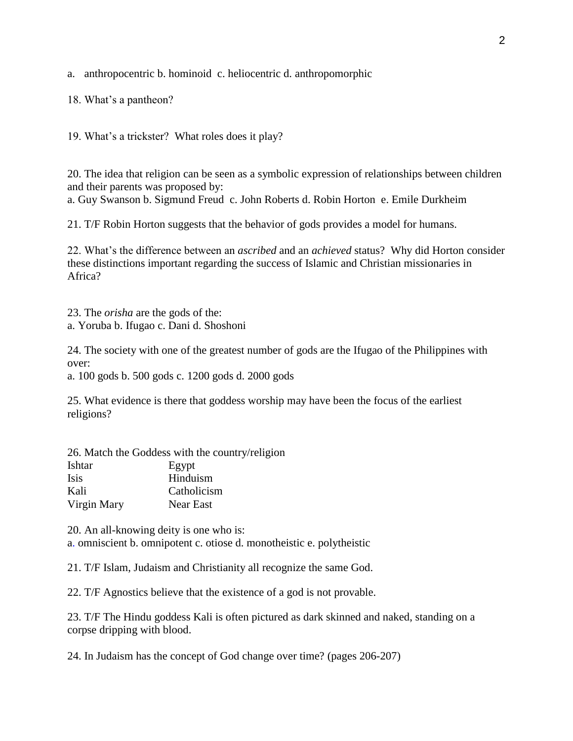a. anthropocentric b. hominoid c. heliocentric d. anthropomorphic

18. What's a pantheon?

19. What's a trickster? What roles does it play?

20. The idea that religion can be seen as a symbolic expression of relationships between children and their parents was proposed by:

a. Guy Swanson b. Sigmund Freud c. John Roberts d. Robin Horton e. Emile Durkheim

21. T/F Robin Horton suggests that the behavior of gods provides a model for humans.

22. What's the difference between an *ascribed* and an *achieved* status? Why did Horton consider these distinctions important regarding the success of Islamic and Christian missionaries in Africa?

23. The *orisha* are the gods of the: a. Yoruba b. Ifugao c. Dani d. Shoshoni

24. The society with one of the greatest number of gods are the Ifugao of the Philippines with over:

a. 100 gods b. 500 gods c. 1200 gods d. 2000 gods

25. What evidence is there that goddess worship may have been the focus of the earliest religions?

|             | 26. Match the Goddess with the country/religion |
|-------------|-------------------------------------------------|
| Ishtar      | Egypt                                           |
| <b>Isis</b> | Hinduism                                        |
| Kali        | Catholicism                                     |
| Virgin Mary | Near East                                       |

20. An all-knowing deity is one who is: a. omniscient b. omnipotent c. otiose d. monotheistic e. polytheistic

21. T/F Islam, Judaism and Christianity all recognize the same God.

22. T/F Agnostics believe that the existence of a god is not provable.

23. T/F The Hindu goddess Kali is often pictured as dark skinned and naked, standing on a corpse dripping with blood.

24. In Judaism has the concept of God change over time? (pages 206-207)